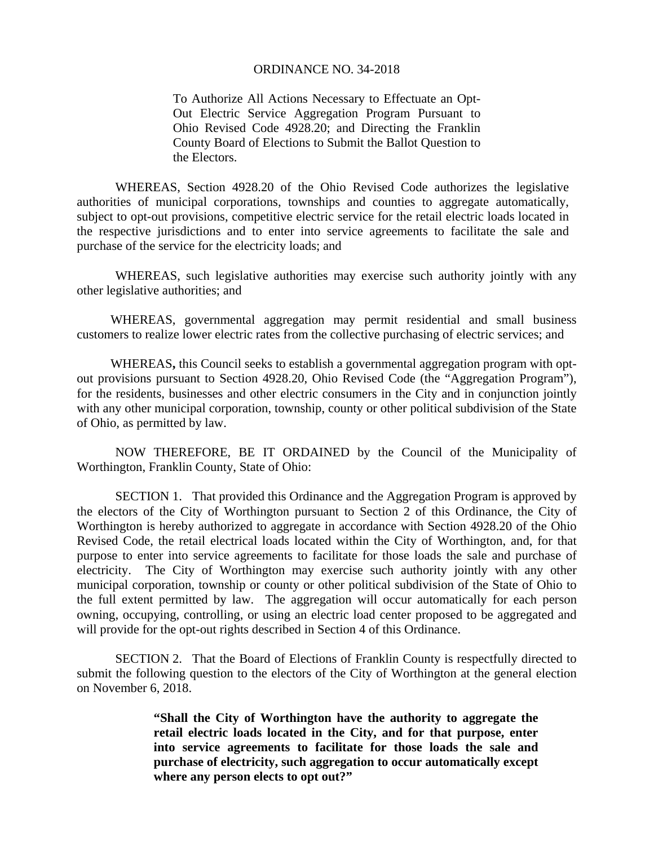## ORDINANCE NO. 34-2018

To Authorize All Actions Necessary to Effectuate an Opt-Out Electric Service Aggregation Program Pursuant to Ohio Revised Code 4928.20; and Directing the Franklin County Board of Elections to Submit the Ballot Question to the Electors.

WHEREAS, Section 4928.20 of the Ohio Revised Code authorizes the legislative authorities of municipal corporations, townships and counties to aggregate automatically, subject to opt-out provisions, competitive electric service for the retail electric loads located in the respective jurisdictions and to enter into service agreements to facilitate the sale and purchase of the service for the electricity loads; and

WHEREAS, such legislative authorities may exercise such authority jointly with any other legislative authorities; and

WHEREAS, governmental aggregation may permit residential and small business customers to realize lower electric rates from the collective purchasing of electric services; and

WHEREAS**,** this Council seeks to establish a governmental aggregation program with optout provisions pursuant to Section 4928.20, Ohio Revised Code (the "Aggregation Program"), for the residents, businesses and other electric consumers in the City and in conjunction jointly with any other municipal corporation, township, county or other political subdivision of the State of Ohio, as permitted by law.

NOW THEREFORE, BE IT ORDAINED by the Council of the Municipality of Worthington, Franklin County, State of Ohio:

 SECTION 1. That provided this Ordinance and the Aggregation Program is approved by the electors of the City of Worthington pursuant to Section 2 of this Ordinance, the City of Worthington is hereby authorized to aggregate in accordance with Section 4928.20 of the Ohio Revised Code, the retail electrical loads located within the City of Worthington, and, for that purpose to enter into service agreements to facilitate for those loads the sale and purchase of electricity. The City of Worthington may exercise such authority jointly with any other municipal corporation, township or county or other political subdivision of the State of Ohio to the full extent permitted by law. The aggregation will occur automatically for each person owning, occupying, controlling, or using an electric load center proposed to be aggregated and will provide for the opt-out rights described in Section 4 of this Ordinance.

SECTION 2. That the Board of Elections of Franklin County is respectfully directed to submit the following question to the electors of the City of Worthington at the general election on November 6, 2018.

> **"Shall the City of Worthington have the authority to aggregate the retail electric loads located in the City, and for that purpose, enter into service agreements to facilitate for those loads the sale and purchase of electricity, such aggregation to occur automatically except where any person elects to opt out?"**